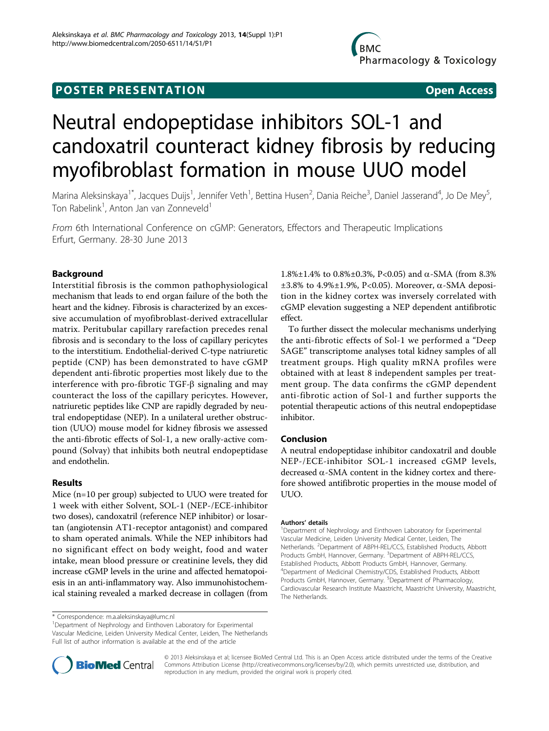## **POSTER PRESENTATION CONSUMING ACCESS**

# Neutral endopeptidase inhibitors SOL-1 and candoxatril counteract kidney fibrosis by reducing myofibroblast formation in mouse UUO model

Marina Aleksinskaya<sup>1\*</sup>, Jacques Duijs<sup>1</sup>, Jennifer Veth<sup>1</sup>, Bettina Husen<sup>2</sup>, Dania Reiche<sup>3</sup>, Daniel Jasserand<sup>4</sup>, Jo De Mey<sup>5</sup> , Ton Rabelink<sup>1</sup>, Anton Jan van Zonneveld<sup>1</sup>

From 6th International Conference on cGMP: Generators, Effectors and Therapeutic Implications Erfurt, Germany. 28-30 June 2013

### Background

Interstitial fibrosis is the common pathophysiological mechanism that leads to end organ failure of the both the heart and the kidney. Fibrosis is characterized by an excessive accumulation of myofibroblast-derived extracellular matrix. Peritubular capillary rarefaction precedes renal fibrosis and is secondary to the loss of capillary pericytes to the interstitium. Endothelial-derived C-type natriuretic peptide (CNP) has been demonstrated to have cGMP dependent anti-fibrotic properties most likely due to the interference with pro-fibrotic  $TGF- $\beta$  signaling and may$ counteract the loss of the capillary pericytes. However, natriuretic peptides like CNP are rapidly degraded by neutral endopeptidase (NEP). In a unilateral urether obstruction (UUO) mouse model for kidney fibrosis we assessed the anti-fibrotic effects of Sol-1, a new orally-active compound (Solvay) that inhibits both neutral endopeptidase and endothelin.

#### Results

Mice (n=10 per group) subjected to UUO were treated for 1 week with either Solvent, SOL-1 (NEP-/ECE-inhibitor two doses), candoxatril (reference NEP inhibitor) or losartan (angiotensin AT1-receptor antagonist) and compared to sham operated animals. While the NEP inhibitors had no significant effect on body weight, food and water intake, mean blood pressure or creatinine levels, they did increase cGMP levels in the urine and affected hematopoiesis in an anti-inflammatory way. Also immunohistochemical staining revealed a marked decrease in collagen (from

<sup>1</sup>Department of Nephrology and Einthoven Laboratory for Experimental Vascular Medicine, Leiden University Medical Center, Leiden, The Netherlands Full list of author information is available at the end of the article

1.8%±1.4% to 0.8%±0.3%, P<0.05) and α-SMA (from 8.3%  $\pm 3.8\%$  to 4.9% $\pm 1.9\%$ , P<0.05). Moreover,  $\alpha$ -SMA deposition in the kidney cortex was inversely correlated with cGMP elevation suggesting a NEP dependent antifibrotic effect.

To further dissect the molecular mechanisms underlying the anti-fibrotic effects of Sol-1 we performed a "Deep SAGE" transcriptome analyses total kidney samples of all treatment groups. High quality mRNA profiles were obtained with at least 8 independent samples per treatment group. The data confirms the cGMP dependent anti-fibrotic action of Sol-1 and further supports the potential therapeutic actions of this neutral endopeptidase inhibitor.

#### Conclusion

A neutral endopeptidase inhibitor candoxatril and double NEP-/ECE-inhibitor SOL-1 increased cGMP levels, decreased  $\alpha$ -SMA content in the kidney cortex and therefore showed antifibrotic properties in the mouse model of UUO.

#### Authors' details <sup>1</sup>

<sup>1</sup>Department of Nephrology and Einthoven Laboratory for Experimental Vascular Medicine, Leiden University Medical Center, Leiden, The Netherlands. <sup>2</sup>Department of ABPH-REL/CCS, Established Products, Abbott Products GmbH, Hannover, Germany. <sup>3</sup>Department of ABPH-REL/CCS Established Products, Abbott Products GmbH, Hannover, Germany. 4 Department of Medicinal Chemistry/CDS, Established Products, Abbott Products GmbH, Hannover, Germany. <sup>5</sup>Department of Pharmacology Cardiovascular Research Institute Maastricht, Maastricht University, Maastricht, The Netherlands.



© 2013 Aleksinskaya et al; licensee BioMed Central Ltd. This is an Open Access article distributed under the terms of the Creative Commons Attribution License [\(http://creativecommons.org/licenses/by/2.0](http://creativecommons.org/licenses/by/2.0)), which permits unrestricted use, distribution, and reproduction in any medium, provided the original work is properly cited.

<sup>\*</sup> Correspondence: [m.a.aleksinskaya@lumc.nl](mailto:m.a.aleksinskaya@lumc.nl)